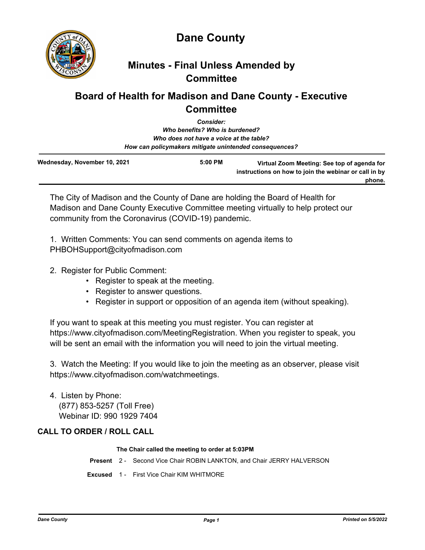



## **Minutes - Final Unless Amended by Committee**

# **Board of Health for Madison and Dane County - Executive Committee**

|                              | <b>Consider:</b><br>Who benefits? Who is burdened?<br>Who does not have a voice at the table? |                                                                                                       |
|------------------------------|-----------------------------------------------------------------------------------------------|-------------------------------------------------------------------------------------------------------|
| Wednesday, November 10, 2021 | $5:00$ PM                                                                                     | How can policymakers mitigate unintended consequences?<br>Virtual Zoom Meeting: See top of agenda for |
|                              |                                                                                               | instructions on how to join the webinar or call in by<br>phone.                                       |

The City of Madison and the County of Dane are holding the Board of Health for Madison and Dane County Executive Committee meeting virtually to help protect our community from the Coronavirus (COVID-19) pandemic.

1. Written Comments: You can send comments on agenda items to PHBOHSupport@cityofmadison.com

- 2. Register for Public Comment:
	- Register to speak at the meeting.
	- Register to answer questions.
	- Register in support or opposition of an agenda item (without speaking).

If you want to speak at this meeting you must register. You can register at https://www.cityofmadison.com/MeetingRegistration. When you register to speak, you will be sent an email with the information you will need to join the virtual meeting.

3. Watch the Meeting: If you would like to join the meeting as an observer, please visit https://www.cityofmadison.com/watchmeetings.

4. Listen by Phone: (877) 853-5257 (Toll Free) Webinar ID: 990 1929 7404

## **CALL TO ORDER / ROLL CALL**

### **The Chair called the meeting to order at 5:03PM**

**Present** 2 - Second Vice Chair ROBIN LANKTON, and Chair JERRY HALVERSON

**Excused** 1 - First Vice Chair KIM WHITMORE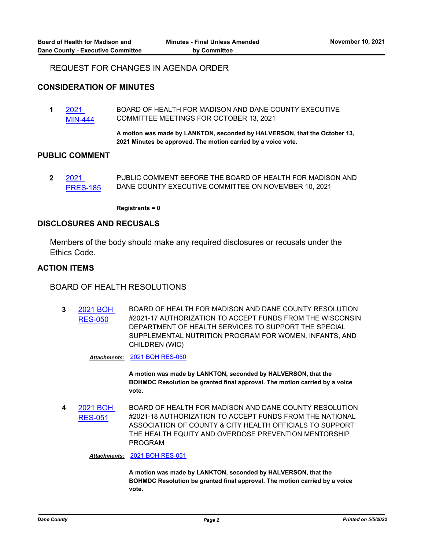## REQUEST FOR CHANGES IN AGENDA ORDER

#### **CONSIDERATION OF MINUTES**

**1** 2021 [MIN-444](http://dane.legistar.com/gateway.aspx?m=l&id=/matter.aspx?key=21574) BOARD OF HEALTH FOR MADISON AND DANE COUNTY EXECUTIVE COMMITTEE MEETINGS FOR OCTOBER 13, 2021

> **A motion was made by LANKTON, seconded by HALVERSON, that the October 13, 2021 Minutes be approved. The motion carried by a voice vote.**

#### **PUBLIC COMMENT**

**2** 2021 [PRES-185](http://dane.legistar.com/gateway.aspx?m=l&id=/matter.aspx?key=21575) PUBLIC COMMENT BEFORE THE BOARD OF HEALTH FOR MADISON AND DANE COUNTY EXECUTIVE COMMITTEE ON NOVEMBER 10, 2021

**Registrants = 0**

#### **DISCLOSURES AND RECUSALS**

Members of the body should make any required disclosures or recusals under the Ethics Code.

## **ACTION ITEMS**

BOARD OF HEALTH RESOLUTIONS

**3** [2021 BOH](http://dane.legistar.com/gateway.aspx?m=l&id=/matter.aspx?key=21567)  RES-050 BOARD OF HEALTH FOR MADISON AND DANE COUNTY RESOLUTION #2021-17 AUTHORIZATION TO ACCEPT FUNDS FROM THE WISCONSIN DEPARTMENT OF HEALTH SERVICES TO SUPPORT THE SPECIAL SUPPLEMENTAL NUTRITION PROGRAM FOR WOMEN, INFANTS, AND CHILDREN (WIC)

*Attachments:* [2021 BOH RES-050](http://dane.legistar.com/gateway.aspx?M=F&ID=d8037f98-a82e-4879-aec7-f417a6d7c9a4.pdf)

**A motion was made by LANKTON, seconded by HALVERSON, that the BOHMDC Resolution be granted final approval. The motion carried by a voice vote.**

**4** [2021 BOH](http://dane.legistar.com/gateway.aspx?m=l&id=/matter.aspx?key=21570)  RES-051 BOARD OF HEALTH FOR MADISON AND DANE COUNTY RESOLUTION #2021-18 AUTHORIZATION TO ACCEPT FUNDS FROM THE NATIONAL ASSOCIATION OF COUNTY & CITY HEALTH OFFICIALS TO SUPPORT THE HEALTH EQUITY AND OVERDOSE PREVENTION MENTORSHIP PROGRAM

*Attachments:* [2021 BOH RES-051](http://dane.legistar.com/gateway.aspx?M=F&ID=e39f1287-f059-4bb6-9cd2-10a5f81f979d.pdf)

**A motion was made by LANKTON, seconded by HALVERSON, that the BOHMDC Resolution be granted final approval. The motion carried by a voice vote.**